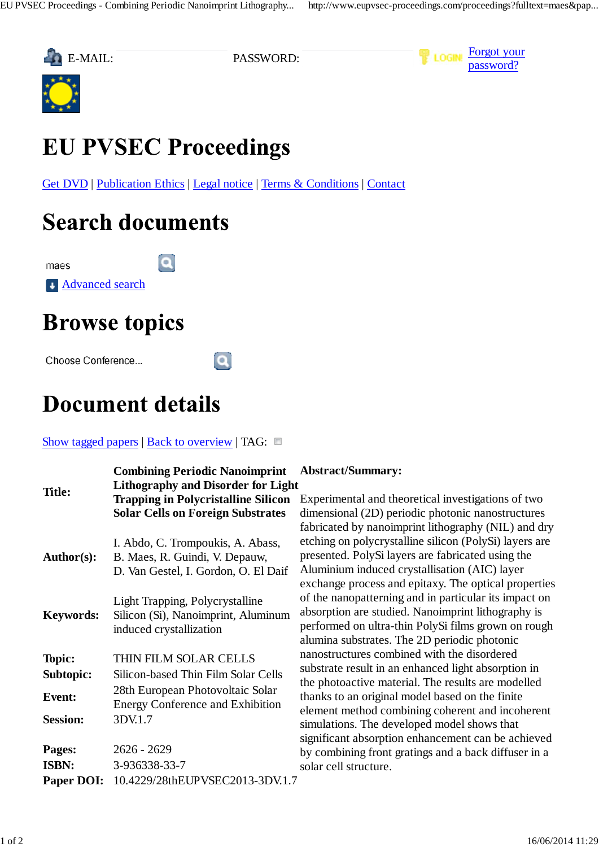





# **EU PVSEC Proceedings**

 $\mathbf{a}$ 

Get DVD | Publication Ethics | Legal notice | Terms & Conditions | Contact

 $\mathbf{a}$ 

## **Search documents**

maes



## **Browse topics**

Choose Conference...

### **Document details**

### Show tagged papers | Back to overview | TAG:  $\Box$

| <b>Title:</b>          | <b>Combining Periodic Nanoimprint</b><br><b>Lithography and Disorder for Light</b><br><b>Trapping in Polycristalline Silicon</b><br><b>Solar Cells on Foreign Substrates</b> |
|------------------------|------------------------------------------------------------------------------------------------------------------------------------------------------------------------------|
| <b>Author(s):</b>      | I. Abdo, C. Trompoukis, A. Abass,<br>B. Maes, R. Guindi, V. Depauw,<br>D. Van Gestel, I. Gordon, O. El Daif                                                                  |
| <b>Keywords:</b>       | Light Trapping, Polycrystalline<br>Silicon (Si), Nanoimprint, Aluminum<br>induced crystallization                                                                            |
| Topic:                 | THIN FILM SOLAR CELLS                                                                                                                                                        |
| Subtopic:              | Silicon-based Thin Film Solar Cells                                                                                                                                          |
| Event:                 | 28th European Photovoltaic Solar<br><b>Energy Conference and Exhibition</b>                                                                                                  |
| <b>Session:</b>        | 3DV.1.7                                                                                                                                                                      |
| Pages:<br><b>ISBN:</b> | 2626 - 2629<br>3-936338-33-7                                                                                                                                                 |
| <b>Paper DOI:</b>      | 10.4229/28thEUPVSEC2013-3DV.1.7                                                                                                                                              |

### **Abstract/Summary:**

Experimental and theoretical investigations of two dimensional (2D) periodic photonic nanostructures fabricated by nanoimprint lithography (NIL) and dry etching on polycrystalline silicon (PolySi) layers are presented. PolySi layers are fabricated using the Aluminium induced crystallisation (AIC) layer exchange process and epitaxy. The optical properties of the nanopatterning and in particular its impact on absorption are studied. Nanoimprint lithography is performed on ultra-thin PolySi films grown on rough alumina substrates. The 2D periodic photonic nanostructures combined with the disordered substrate result in an enhanced light absorption in the photoactive material. The results are modelled thanks to an original model based on the finite element method combining coherent and incoherent simulations. The developed model shows that significant absorption enhancement can be achieved by combining front gratings and a back diffuser in a solar cell structure.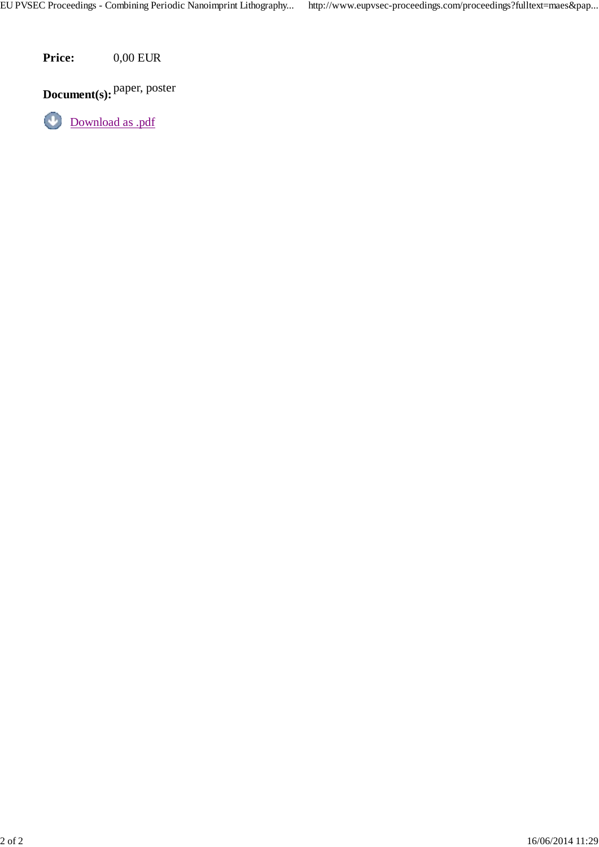**Price:** 0,00 EUR

**Document(s):** Paper, poster

 $\bigcirc$ Download as .pdf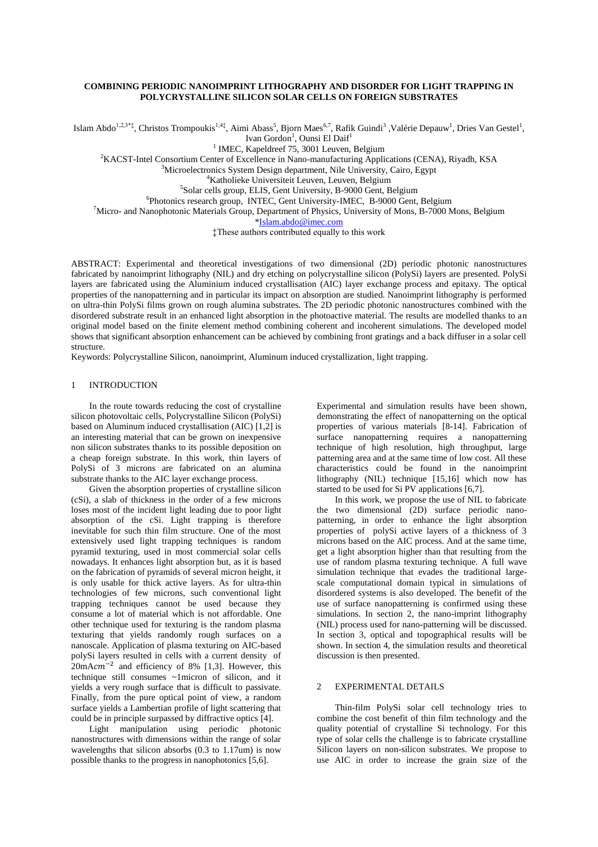#### **COMBINING PERIODIC NANOIMPRINT LITHOGRAPHY AND DISORDER FOR LIGHT TRAPPING IN POLYCRYSTALLINE SILICON SOLAR CELLS ON FOREIGN SUBSTRATES**

Islam Abdo<sup>1,2,3\*‡</sup>, Christos Trompoukis<sup>1,4‡</sup>, Aimi Abass<sup>5</sup>, Bjorn Maes<sup>6,7</sup>, Rafik Guindi<sup>3</sup>, Valérie Depauw<sup>1</sup>, Dries Van Gestel<sup>1</sup>, Ivan Gordon<sup>1</sup>, Ounsi El Daif<sup>1</sup>

<sup>1</sup> IMEC, Kapeldreef 75, 3001 Leuven, Belgium

<sup>2</sup>KACST-Intel Consortium Center of Excellence in Nano-manufacturing Applications (CENA), Riyadh, KSA

<sup>3</sup>Microelectronics System Design department, Nile University, Cairo, Egypt

<sup>4</sup>Katholieke Universiteit Leuven, Leuven, Belgium

5 Solar cells group, ELIS, Gent University, B-9000 Gent, Belgium

6 Photonics research group, INTEC, Gent University-IMEC, B-9000 Gent, Belgium

<sup>7</sup>Micro- and Nanophotonic Materials Group, Department of Physics, University of Mons, B-7000 Mons, Belgium

[\\*Islam.abdo@imec.com](mailto:ounsi.eldaif@imec.be)

‡These authors contributed equally to this work

ABSTRACT: Experimental and theoretical investigations of two dimensional (2D) periodic photonic nanostructures fabricated by nanoimprint lithography (NIL) and dry etching on polycrystalline silicon (PolySi) layers are presented. PolySi layers are fabricated using the Aluminium induced crystallisation (AIC) layer exchange process and epitaxy. The optical properties of the nanopatterning and in particular its impact on absorption are studied. Nanoimprint lithography is performed on ultra-thin PolySi films grown on rough alumina substrates. The 2D periodic photonic nanostructures combined with the disordered substrate result in an enhanced light absorption in the photoactive material. The results are modelled thanks to an original model based on the finite element method combining coherent and incoherent simulations. The developed model shows that significant absorption enhancement can be achieved by combining front gratings and a back diffuser in a solar cell structure.

Keywords: Polycrystalline Silicon, nanoimprint, Aluminum induced crystallization, light trapping.

#### 1 INTRODUCTION

In the route towards reducing the cost of crystalline silicon photovoltaic cells, Polycrystalline Silicon (PolySi) based on Aluminum induced crystallisation (AIC) [1,2] is an interesting material that can be grown on inexpensive non silicon substrates thanks to its possible deposition on a cheap foreign substrate. In this work, thin layers of PolySi of 3 microns are fabricated on an alumina substrate thanks to the AIC layer exchange process.

Given the absorption properties of crystalline silicon (cSi), a slab of thickness in the order of a few microns loses most of the incident light leading due to poor light absorption of the cSi. Light trapping is therefore inevitable for such thin film structure. One of the most extensively used light trapping techniques is random pyramid texturing, used in most commercial solar cells nowadays. It enhances light absorption but, as it is based on the fabrication of pyramids of several micron height, it is only usable for thick active layers. As for ultra-thin technologies of few microns, such conventional light trapping techniques cannot be used because they consume a lot of material which is not affordable. One other technique used for texturing is the random plasma texturing that yields randomly rough surfaces on a nanoscale. Application of plasma texturing on AIC-based polySi layers resulted in cells with a current density of  $20 \text{ mA} \text{cm}^{-2}$  and efficiency of 8% [1,3]. However, this technique still consumes ~1micron of silicon, and it yields a very rough surface that is difficult to passivate. Finally, from the pure optical point of view, a random surface yields a Lambertian profile of light scattering that could be in principle surpassed by diffractive optics [4].

Light manipulation using periodic photonic nanostructures with dimensions within the range of solar wavelengths that silicon absorbs (0.3 to 1.17um) is now possible thanks to the progress in nanophotonics [5,6].

Experimental and simulation results have been shown, demonstrating the effect of nanopatterning on the optical properties of various materials [8-14]. Fabrication of surface nanopatterning requires a nanopatterning technique of high resolution, high throughput, large patterning area and at the same time of low cost. All these characteristics could be found in the nanoimprint lithography (NIL) technique [15,16] which now has started to be used for Si PV applications [6,7].

In this work, we propose the use of NIL to fabricate the two dimensional (2D) surface periodic nanopatterning, in order to enhance the light absorption properties of polySi active layers of a thickness of 3 microns based on the AIC process. And at the same time, get a light absorption higher than that resulting from the use of random plasma texturing technique. A full wave simulation technique that evades the traditional largescale computational domain typical in simulations of disordered systems is also developed. The benefit of the use of surface nanopatterning is confirmed using these simulations. In section 2, the nano-imprint lithography (NIL) process used for nano-patterning will be discussed. In section 3, optical and topographical results will be shown. In section 4, the simulation results and theoretical discussion is then presented.

#### 2 EXPERIMENTAL DETAILS

Thin-film PolySi solar cell technology tries to combine the cost benefit of thin film technology and the quality potential of crystalline Si technology. For this type of solar cells the challenge is to fabricate crystalline Silicon layers on non-silicon substrates. We propose to use AIC in order to increase the grain size of the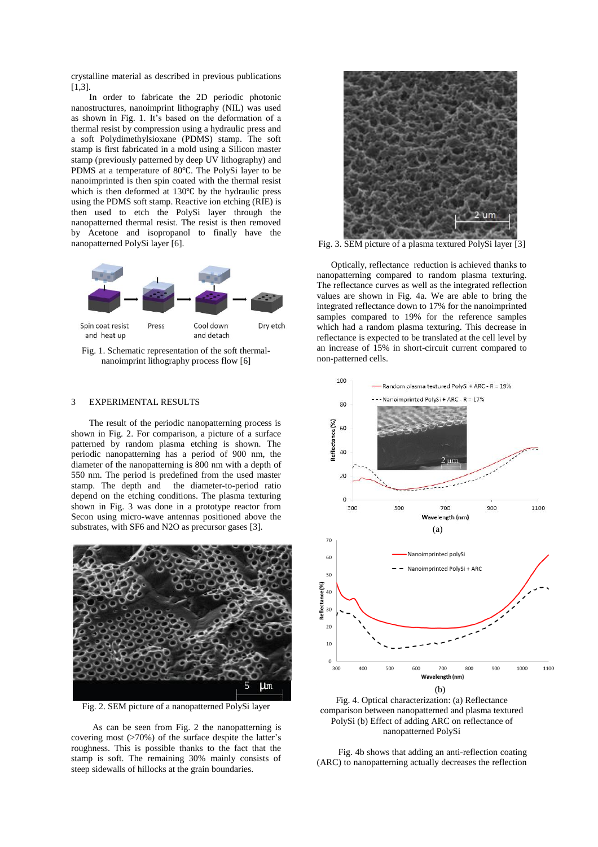crystalline material as described in previous publications [1,3].

In order to fabricate the 2D periodic photonic nanostructures, nanoimprint lithography (NIL) was used as shown in Fig. 1. It's based on the deformation of a thermal resist by compression using a hydraulic press and a soft Polydimethylsioxane (PDMS) stamp. The soft stamp is first fabricated in a mold using a Silicon master stamp (previously patterned by deep UV lithography) and PDMS at a temperature of 80℃. The PolySi layer to be nanoimprinted is then spin coated with the thermal resist which is then deformed at 130℃ by the hydraulic press using the PDMS soft stamp. Reactive ion etching (RIE) is then used to etch the PolySi layer through the nanopatterned thermal resist. The resist is then removed by Acetone and isopropanol to finally have the nanopatterned PolySi layer [6].



Fig. 1. Schematic representation of the soft thermalnanoimprint lithography process flow [6]

#### 3 EXPERIMENTAL RESULTS

The result of the periodic nanopatterning process is shown in Fig. 2. For comparison, a picture of a surface patterned by random plasma etching is shown. The periodic nanopatterning has a period of 900 nm, the diameter of the nanopatterning is 800 nm with a depth of 550 nm. The period is predefined from the used master stamp. The depth and the diameter-to-period ratio depend on the etching conditions. The plasma texturing shown in Fig. 3 was done in a prototype reactor from Secon using micro-wave antennas positioned above the substrates, with SF6 and N2O as precursor gases [3].



Fig. 2. SEM picture of a nanopatterned PolySi layer

As can be seen from Fig. 2 the nanopatterning is covering most (>70%) of the surface despite the latter's roughness. This is possible thanks to the fact that the stamp is soft. The remaining 30% mainly consists of steep sidewalls of hillocks at the grain boundaries.



Fig. 3. SEM picture of a plasma textured PolySi layer [3]

Optically, reflectance reduction is achieved thanks to nanopatterning compared to random plasma texturing. The reflectance curves as well as the integrated reflection values are shown in Fig. 4a. We are able to bring the integrated reflectance down to 17% for the nanoimprinted samples compared to 19% for the reference samples which had a random plasma texturing. This decrease in reflectance is expected to be translated at the cell level by an increase of 15% in short-circuit current compared to non-patterned cells.



Fig. 4. Optical characterization: (a) Reflectance comparison between nanopatterned and plasma textured PolySi (b) Effect of adding ARC on reflectance of nanopatterned PolySi

Fig. 4b shows that adding an anti-reflection coating (ARC) to nanopatterning actually decreases the reflection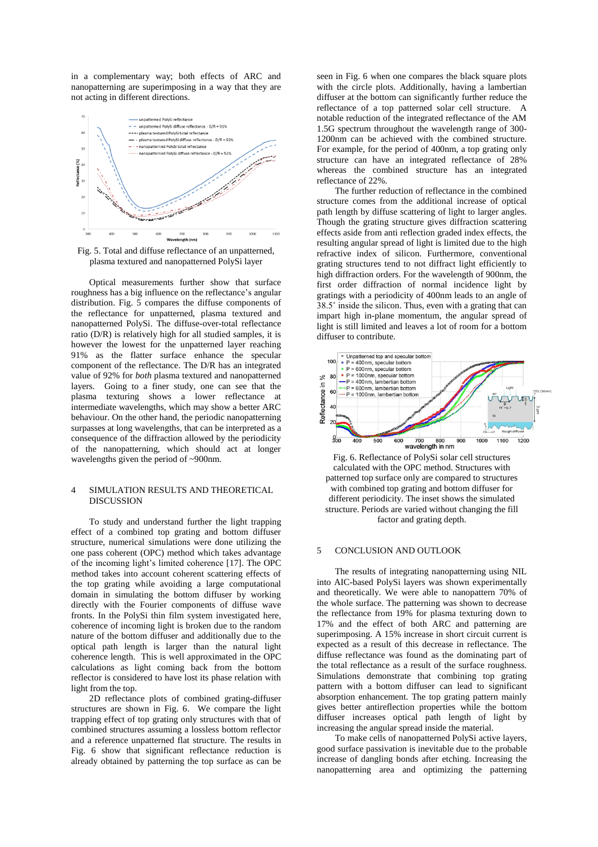in a complementary way; both effects of ARC and nanopatterning are superimposing in a way that they are not acting in different directions.



Fig. 5. Total and diffuse reflectance of an unpatterned, plasma textured and nanopatterned PolySi layer

Optical measurements further show that surface roughness has a big influence on the reflectance's angular distribution. Fig. 5 compares the diffuse components of the reflectance for unpatterned, plasma textured and nanopatterned PolySi. The diffuse-over-total reflectance ratio (D/R) is relatively high for all studied samples, it is however the lowest for the unpatterned layer reaching 91% as the flatter surface enhance the specular component of the reflectance. The D/R has an integrated value of 92% for *both* plasma textured and nanopatterned layers. Going to a finer study, one can see that the plasma texturing shows a lower reflectance at intermediate wavelengths, which may show a better ARC behaviour. On the other hand, the periodic nanopatterning surpasses at long wavelengths, that can be interpreted as a consequence of the diffraction allowed by the periodicity of the nanopatterning, which should act at longer wavelengths given the period of ~900nm.

#### 4 SIMULATION RESULTS AND THEORETICAL DISCUSSION

To study and understand further the light trapping effect of a combined top grating and bottom diffuser structure, numerical simulations were done utilizing the one pass coherent (OPC) method which takes advantage of the incoming light's limited coherence [17]. The OPC method takes into account coherent scattering effects of the top grating while avoiding a large computational domain in simulating the bottom diffuser by working directly with the Fourier components of diffuse wave fronts. In the PolySi thin film system investigated here, coherence of incoming light is broken due to the random nature of the bottom diffuser and additionally due to the optical path length is larger than the natural light coherence length. This is well approximated in the OPC calculations as light coming back from the bottom reflector is considered to have lost its phase relation with light from the top.

2D reflectance plots of combined grating-diffuser structures are shown in Fig. 6. We compare the light trapping effect of top grating only structures with that of combined structures assuming a lossless bottom reflector and a reference unpatterned flat structure. The results in Fig. 6 show that significant reflectance reduction is already obtained by patterning the top surface as can be seen in Fig. 6 when one compares the black square plots with the circle plots. Additionally, having a lambertian diffuser at the bottom can significantly further reduce the reflectance of a top patterned solar cell structure. A notable reduction of the integrated reflectance of the AM 1.5G spectrum throughout the wavelength range of 300- 1200nm can be achieved with the combined structure. For example, for the period of 400nm, a top grating only structure can have an integrated reflectance of 28% whereas the combined structure has an integrated reflectance of 22%.

The further reduction of reflectance in the combined structure comes from the additional increase of optical path length by diffuse scattering of light to larger angles. Though the grating structure gives diffraction scattering effects aside from anti reflection graded index effects, the resulting angular spread of light is limited due to the high refractive index of silicon. Furthermore, conventional grating structures tend to not diffract light efficiently to high diffraction orders. For the wavelength of 900nm, the first order diffraction of normal incidence light by gratings with a periodicity of 400nm leads to an angle of 38.5˚ inside the silicon. Thus, even with a grating that can impart high in-plane momentum, the angular spread of light is still limited and leaves a lot of room for a bottom diffuser to contribute.



Fig. 6. Reflectance of PolySi solar cell structures calculated with the OPC method. Structures with patterned top surface only are compared to structures with combined top grating and bottom diffuser for different periodicity. The inset shows the simulated structure. Periods are varied without changing the fill factor and grating depth.

#### 5 CONCLUSION AND OUTLOOK

The results of integrating nanopatterning using NIL into AIC-based PolySi layers was shown experimentally and theoretically. We were able to nanopattern 70% of the whole surface. The patterning was shown to decrease the reflectance from 19% for plasma texturing down to 17% and the effect of both ARC and patterning are superimposing. A 15% increase in short circuit current is expected as a result of this decrease in reflectance. The diffuse reflectance was found as the dominating part of the total reflectance as a result of the surface roughness. Simulations demonstrate that combining top grating pattern with a bottom diffuser can lead to significant absorption enhancement. The top grating pattern mainly gives better antireflection properties while the bottom diffuser increases optical path length of light by increasing the angular spread inside the material.

To make cells of nanopatterned PolySi active layers, good surface passivation is inevitable due to the probable increase of dangling bonds after etching. Increasing the nanopatterning area and optimizing the patterning